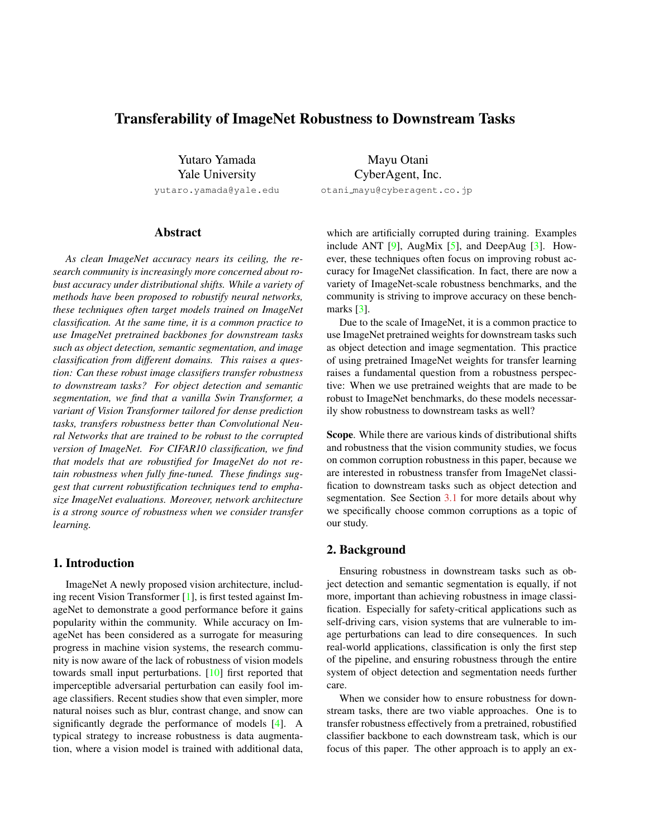# <span id="page-0-0"></span>Transferability of ImageNet Robustness to Downstream Tasks

Yutaro Yamada Yale University

yutaro.yamada@yale.edu

# Abstract

*As clean ImageNet accuracy nears its ceiling, the research community is increasingly more concerned about robust accuracy under distributional shifts. While a variety of methods have been proposed to robustify neural networks, these techniques often target models trained on ImageNet classification. At the same time, it is a common practice to use ImageNet pretrained backbones for downstream tasks such as object detection, semantic segmentation, and image classification from different domains. This raises a question: Can these robust image classifiers transfer robustness to downstream tasks? For object detection and semantic segmentation, we find that a vanilla Swin Transformer, a variant of Vision Transformer tailored for dense prediction tasks, transfers robustness better than Convolutional Neural Networks that are trained to be robust to the corrupted version of ImageNet. For CIFAR10 classification, we find that models that are robustified for ImageNet do not retain robustness when fully fine-tuned. These findings suggest that current robustification techniques tend to emphasize ImageNet evaluations. Moreover, network architecture is a strong source of robustness when we consider transfer learning.*

# 1. Introduction

ImageNet A newly proposed vision architecture, including recent Vision Transformer [\[1\]](#page-3-0), is first tested against ImageNet to demonstrate a good performance before it gains popularity within the community. While accuracy on ImageNet has been considered as a surrogate for measuring progress in machine vision systems, the research community is now aware of the lack of robustness of vision models towards small input perturbations. [\[10\]](#page-3-1) first reported that imperceptible adversarial perturbation can easily fool image classifiers. Recent studies show that even simpler, more natural noises such as blur, contrast change, and snow can significantly degrade the performance of models [\[4\]](#page-3-2). A typical strategy to increase robustness is data augmentation, where a vision model is trained with additional data,

Mayu Otani CyberAgent, Inc. otani mayu@cyberagent.co.jp

which are artificially corrupted during training. Examples include ANT  $[9]$ , AugMix  $[5]$ , and DeepAug  $[3]$ . However, these techniques often focus on improving robust accuracy for ImageNet classification. In fact, there are now a variety of ImageNet-scale robustness benchmarks, and the community is striving to improve accuracy on these bench-marks [\[3\]](#page-3-5).

Due to the scale of ImageNet, it is a common practice to use ImageNet pretrained weights for downstream tasks such as object detection and image segmentation. This practice of using pretrained ImageNet weights for transfer learning raises a fundamental question from a robustness perspective: When we use pretrained weights that are made to be robust to ImageNet benchmarks, do these models necessarily show robustness to downstream tasks as well?

Scope. While there are various kinds of distributional shifts and robustness that the vision community studies, we focus on common corruption robustness in this paper, because we are interested in robustness transfer from ImageNet classification to downstream tasks such as object detection and segmentation. See Section [3.1](#page-2-0) for more details about why we specifically choose common corruptions as a topic of our study.

# 2. Background

Ensuring robustness in downstream tasks such as object detection and semantic segmentation is equally, if not more, important than achieving robustness in image classification. Especially for safety-critical applications such as self-driving cars, vision systems that are vulnerable to image perturbations can lead to dire consequences. In such real-world applications, classification is only the first step of the pipeline, and ensuring robustness through the entire system of object detection and segmentation needs further care.

When we consider how to ensure robustness for downstream tasks, there are two viable approaches. One is to transfer robustness effectively from a pretrained, robustified classifier backbone to each downstream task, which is our focus of this paper. The other approach is to apply an ex-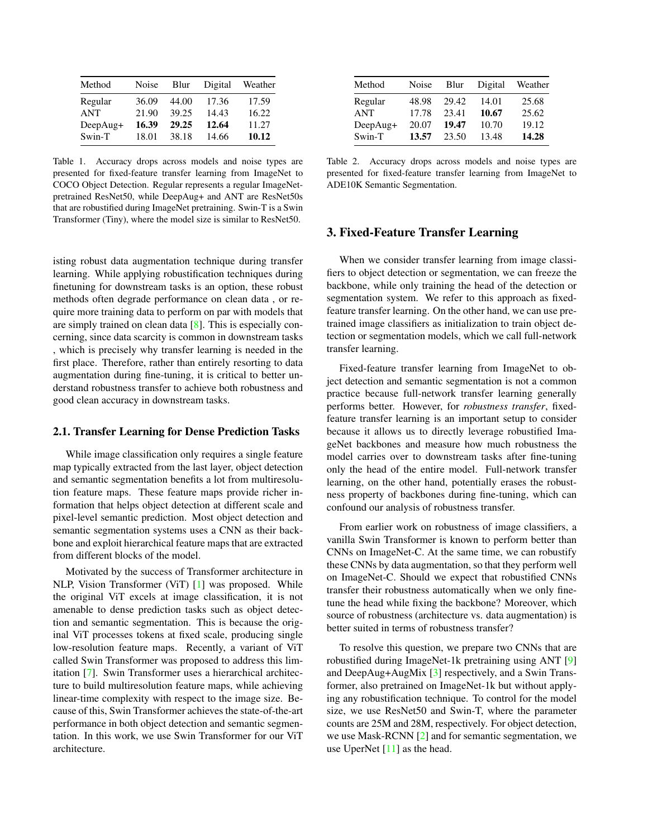<span id="page-1-3"></span><span id="page-1-0"></span>

| Method     | Noise | Blur  | Digital | Weather |
|------------|-------|-------|---------|---------|
| Regular    | 36.09 | 44.00 | 17.36   | 17.59   |
| <b>ANT</b> | 21.90 | 39.25 | 14.43   | 16.22   |
| DeepAug+   | 16.39 | 29.25 | 12.64   | 11.27   |
| Swin-T     | 18.01 | 38.18 | 14.66   | 10.12   |

Table 1. Accuracy drops across models and noise types are presented for fixed-feature transfer learning from ImageNet to COCO Object Detection. Regular represents a regular ImageNetpretrained ResNet50, while DeepAug+ and ANT are ResNet50s that are robustified during ImageNet pretraining. Swin-T is a Swin Transformer (Tiny), where the model size is similar to ResNet50.

isting robust data augmentation technique during transfer learning. While applying robustification techniques during finetuning for downstream tasks is an option, these robust methods often degrade performance on clean data , or require more training data to perform on par with models that are simply trained on clean data [\[8\]](#page-3-6). This is especially concerning, since data scarcity is common in downstream tasks , which is precisely why transfer learning is needed in the first place. Therefore, rather than entirely resorting to data augmentation during fine-tuning, it is critical to better understand robustness transfer to achieve both robustness and good clean accuracy in downstream tasks.

#### 2.1. Transfer Learning for Dense Prediction Tasks

While image classification only requires a single feature map typically extracted from the last layer, object detection and semantic segmentation benefits a lot from multiresolution feature maps. These feature maps provide richer information that helps object detection at different scale and pixel-level semantic prediction. Most object detection and semantic segmentation systems uses a CNN as their backbone and exploit hierarchical feature maps that are extracted from different blocks of the model.

Motivated by the success of Transformer architecture in NLP, Vision Transformer (ViT) [\[1\]](#page-3-0) was proposed. While the original ViT excels at image classification, it is not amenable to dense prediction tasks such as object detection and semantic segmentation. This is because the original ViT processes tokens at fixed scale, producing single low-resolution feature maps. Recently, a variant of ViT called Swin Transformer was proposed to address this limitation [\[7\]](#page-3-7). Swin Transformer uses a hierarchical architecture to build multiresolution feature maps, while achieving linear-time complexity with respect to the image size. Because of this, Swin Transformer achieves the state-of-the-art performance in both object detection and semantic segmentation. In this work, we use Swin Transformer for our ViT architecture.

<span id="page-1-1"></span>

| Method     | Noise | Blur  | Digital | Weather |
|------------|-------|-------|---------|---------|
| Regular    | 48.98 | 29.42 | 14.01   | 25.68   |
| <b>ANT</b> | 17.78 | 23.41 | 10.67   | 25.62   |
| DeepAug+   | 20.07 | 19.47 | 10.70   | 19.12   |
| Swin-T     | 13.57 | 23.50 | 13.48   | 14.28   |

Table 2. Accuracy drops across models and noise types are presented for fixed-feature transfer learning from ImageNet to ADE10K Semantic Segmentation.

# <span id="page-1-2"></span>3. Fixed-Feature Transfer Learning

When we consider transfer learning from image classifiers to object detection or segmentation, we can freeze the backbone, while only training the head of the detection or segmentation system. We refer to this approach as fixedfeature transfer learning. On the other hand, we can use pretrained image classifiers as initialization to train object detection or segmentation models, which we call full-network transfer learning.

Fixed-feature transfer learning from ImageNet to object detection and semantic segmentation is not a common practice because full-network transfer learning generally performs better. However, for *robustness transfer*, fixedfeature transfer learning is an important setup to consider because it allows us to directly leverage robustified ImageNet backbones and measure how much robustness the model carries over to downstream tasks after fine-tuning only the head of the entire model. Full-network transfer learning, on the other hand, potentially erases the robustness property of backbones during fine-tuning, which can confound our analysis of robustness transfer.

From earlier work on robustness of image classifiers, a vanilla Swin Transformer is known to perform better than CNNs on ImageNet-C. At the same time, we can robustify these CNNs by data augmentation, so that they perform well on ImageNet-C. Should we expect that robustified CNNs transfer their robustness automatically when we only finetune the head while fixing the backbone? Moreover, which source of robustness (architecture vs. data augmentation) is better suited in terms of robustness transfer?

To resolve this question, we prepare two CNNs that are robustified during ImageNet-1k pretraining using ANT [\[9\]](#page-3-3) and DeepAug+AugMix [\[3\]](#page-3-5) respectively, and a Swin Transformer, also pretrained on ImageNet-1k but without applying any robustification technique. To control for the model size, we use ResNet50 and Swin-T, where the parameter counts are 25M and 28M, respectively. For object detection, we use Mask-RCNN [\[2\]](#page-3-8) and for semantic segmentation, we use UperNet  $[11]$  as the head.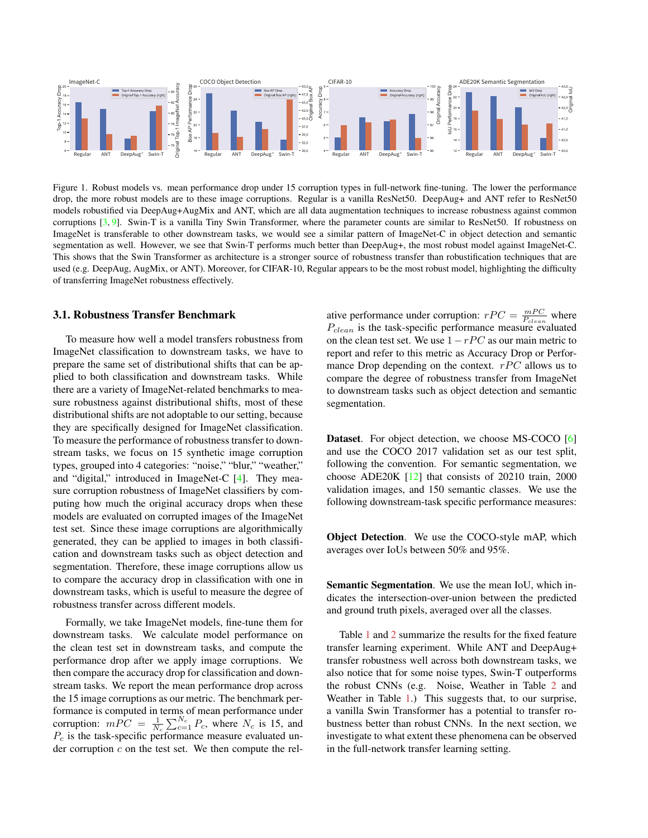<span id="page-2-2"></span><span id="page-2-1"></span>

Figure 1. Robust models vs. mean performance drop under 15 corruption types in full-network fine-tuning. The lower the performance drop, the more robust models are to these image corruptions. Regular is a vanilla ResNet50. DeepAug+ and ANT refer to ResNet50 models robustified via DeepAug+AugMix and ANT, which are all data augmentation techniques to increase robustness against common corruptions  $[3, 9]$  $[3, 9]$  $[3, 9]$ . Swin-T is a vanilla Tiny Swin Transformer, where the parameter counts are similar to ResNet50. If robustness on ImageNet is transferable to other downstream tasks, we would see a similar pattern of ImageNet-C in object detection and semantic segmentation as well. However, we see that Swin-T performs much better than DeepAug+, the most robust model against ImageNet-C. This shows that the Swin Transformer as architecture is a stronger source of robustness transfer than robustification techniques that are used (e.g. DeepAug, AugMix, or ANT). Moreover, for CIFAR-10, Regular appears to be the most robust model, highlighting the difficulty of transferring ImageNet robustness effectively.

#### <span id="page-2-0"></span>3.1. Robustness Transfer Benchmark

To measure how well a model transfers robustness from ImageNet classification to downstream tasks, we have to prepare the same set of distributional shifts that can be applied to both classification and downstream tasks. While there are a variety of ImageNet-related benchmarks to measure robustness against distributional shifts, most of these distributional shifts are not adoptable to our setting, because they are specifically designed for ImageNet classification. To measure the performance of robustness transfer to downstream tasks, we focus on 15 synthetic image corruption types, grouped into 4 categories: "noise," "blur," "weather," and "digital," introduced in ImageNet-C [\[4\]](#page-3-2). They measure corruption robustness of ImageNet classifiers by computing how much the original accuracy drops when these models are evaluated on corrupted images of the ImageNet test set. Since these image corruptions are algorithmically generated, they can be applied to images in both classification and downstream tasks such as object detection and segmentation. Therefore, these image corruptions allow us to compare the accuracy drop in classification with one in downstream tasks, which is useful to measure the degree of robustness transfer across different models.

Formally, we take ImageNet models, fine-tune them for downstream tasks. We calculate model performance on the clean test set in downstream tasks, and compute the performance drop after we apply image corruptions. We then compare the accuracy drop for classification and downstream tasks. We report the mean performance drop across the 15 image corruptions as our metric. The benchmark performance is computed in terms of mean performance under corruption:  $m\overline{PC} = \frac{1}{N_c} \sum_{c=1}^{N_c} P_c$ , where  $N_c$  is 15, and  $P_c$  is the task-specific performance measure evaluated under corruption  $c$  on the test set. We then compute the rel-

ative performance under corruption:  $rPC = \frac{mPC}{P_{clean}}$  where  $P_{clean}$  is the task-specific performance measure evaluated on the clean test set. We use  $1 - rPC$  as our main metric to report and refer to this metric as Accuracy Drop or Performance Drop depending on the context.  $rPC$  allows us to compare the degree of robustness transfer from ImageNet to downstream tasks such as object detection and semantic segmentation.

Dataset. For object detection, we choose MS-COCO [\[6\]](#page-3-10) and use the COCO 2017 validation set as our test split, following the convention. For semantic segmentation, we choose ADE20K [\[12\]](#page-3-11) that consists of 20210 train, 2000 validation images, and 150 semantic classes. We use the following downstream-task specific performance measures:

Object Detection. We use the COCO-style mAP, which averages over IoUs between 50% and 95%.

Semantic Segmentation. We use the mean IoU, which indicates the intersection-over-union between the predicted and ground truth pixels, averaged over all the classes.

Table [1](#page-1-0) and [2](#page-1-1) summarize the results for the fixed feature transfer learning experiment. While ANT and DeepAug+ transfer robustness well across both downstream tasks, we also notice that for some noise types, Swin-T outperforms the robust CNNs (e.g. Noise, Weather in Table [2](#page-1-1) and Weather in Table [1.](#page-1-0)) This suggests that, to our surprise, a vanilla Swin Transformer has a potential to transfer robustness better than robust CNNs. In the next section, we investigate to what extent these phenomena can be observed in the full-network transfer learning setting.